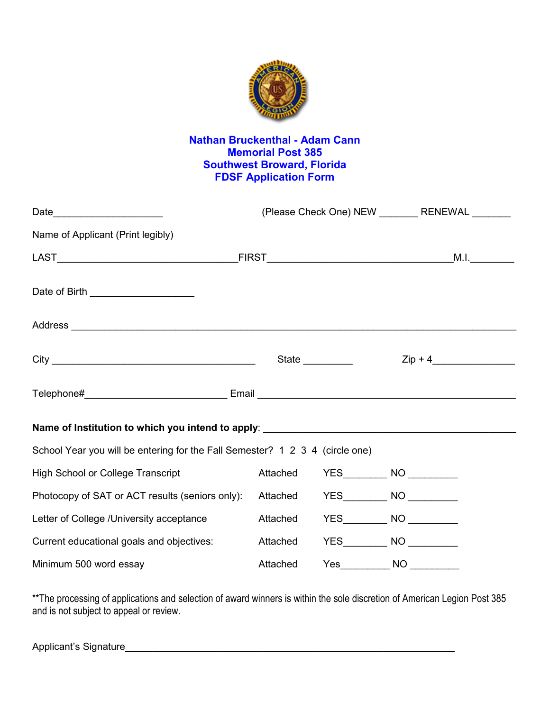

## **Nathan Bruckenthal - Adam Cann Memorial Post 385 Southwest Broward, Florida FDSF Application Form**

| Date_________________________                                                | (Please Check One) NEW _________ RENEWAL _______ |                 |                                |           |
|------------------------------------------------------------------------------|--------------------------------------------------|-----------------|--------------------------------|-----------|
| Name of Applicant (Print legibly)                                            |                                                  |                 |                                |           |
|                                                                              |                                                  |                 |                                |           |
| Date of Birth ______________________                                         |                                                  |                 |                                |           |
|                                                                              |                                                  |                 |                                |           |
|                                                                              |                                                  | State _________ |                                | $Zip + 4$ |
|                                                                              |                                                  |                 |                                |           |
|                                                                              |                                                  |                 |                                |           |
| School Year you will be entering for the Fall Semester? 1 2 3 4 (circle one) |                                                  |                 |                                |           |
| <b>High School or College Transcript</b>                                     | Attached                                         |                 | YES____________ NO ___________ |           |
| Photocopy of SAT or ACT results (seniors only):                              |                                                  | Attached        | YES____________ NO ___________ |           |
| Letter of College /University acceptance                                     | Attached                                         |                 | YES____________ NO ___________ |           |
| Current educational goals and objectives:                                    |                                                  | Attached        | YES____________ NO ___________ |           |
| Minimum 500 word essay                                                       | Attached                                         |                 |                                |           |

\*\*The processing of applications and selection of award winners is within the sole discretion of American Legion Post 385 and is not subject to appeal or review.

Applicant's Signature\_\_\_\_\_\_\_\_\_\_\_\_\_\_\_\_\_\_\_\_\_\_\_\_\_\_\_\_\_\_\_\_\_\_\_\_\_\_\_\_\_\_\_\_\_\_\_\_\_\_\_\_\_\_\_\_\_\_\_\_